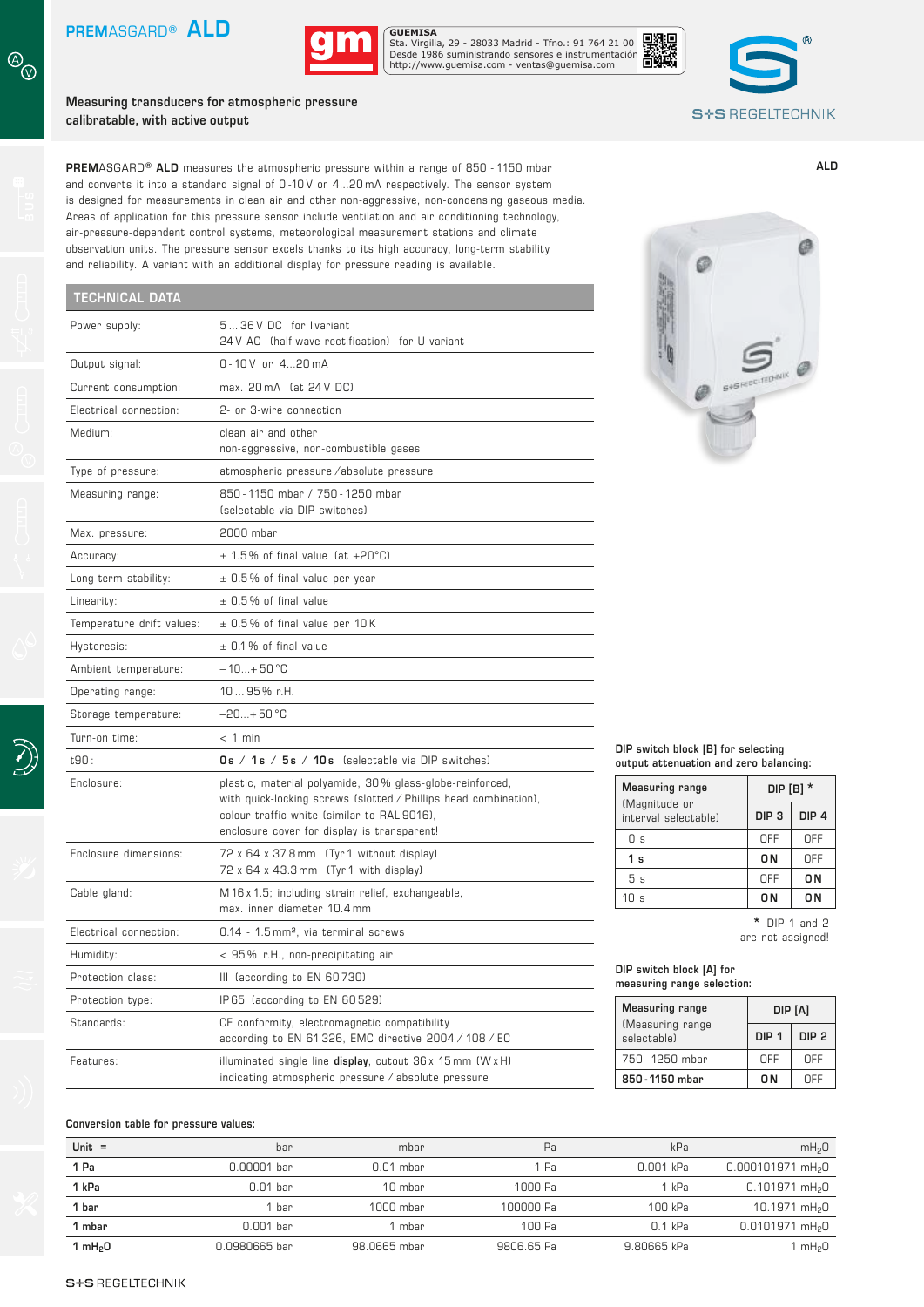

Sta. Virgilia, 29 - 28033 Madrid - Tfno.: 91 764 21 00 Desde 1986 suministrando sensores e instrumentación. http://www.guemisa.com - ventas@guemisa.com

**Measuring transducers for atmospheric pressure calibratable, with active output**



**ALD**

**PREM**ASGARD**® ALD** measures the atmospheric pressure within a range of 850 - 1150 mbar and converts it into a standard signal of 0-10V or 4...20 mA respectively. The sensor system is designed for measurements in clean air and other non-aggressive, non-condensing gaseous media. Areas of application for this pressure sensor include ventilation and air conditioning technology, air-pressure-dependent control systems, meteorological measurement stations and climate observation units. The pressure sensor excels thanks to its high accuracy, long-term stability and reliability. A variant with an additional display for pressure reading is available.

## **TECHNICAL DATA** Power supply:  $5...36$  V DC for I variant 24 V AC (half-wave rectification) for U variant Output signal: 0-10V or 4...20mA Current consumption: max. 20 mA (at 24 V DC) Electrical connection: 2- or 3-wire connection Medium: clean air and other non-aggressive, non-combustible gases Type of pressure: atmospheric pressure ⁄ absolute pressure Measuring range: 850 - 1150 mbar / 750 - 1250 mbar (selectable via DIP switches) Max. pressure: 2000 mbar  $\angle$  Accuracy:  $\pm$  1.5% of final value (at +20°C) Long-term stability:  $\pm 0.5\%$  of final value per year Linearity:  $\pm 0.5\%$  of final value Temperature drift values:  $\pm 0.5\%$  of final value per 10K Hysteresis:  $\pm 0.1 \%$  of final value Ambient temperature:  $-10...+50$  °C Operating range: 10 ... 95 % r.H. Storage temperature: –20...+ 50 °C Turn-on time: < 1 min t90 : **0 s ⁄ 1 s ⁄ 5 s ⁄ 10 s** (selectable via DIP switches) Enclosure: plastic, material polyamide, 30% glass-globe-reinforced, with quick-locking screws (slotted / Phillips head combination), colour traffic white (similar to RAL 9016), enclosure cover for display is transparent! Enclosure dimensions: 72 x 64 x 37.8 mm (Tyr 1 without display) 72 x 64 x 43.3 mm (Tyr 1 with display) Cable gland: M 16 x 1.5; including strain relief, exchangeable, max. inner diameter 10.4 mm Electrical connection: 0.14 - 1.5 mm², via terminal screws Humidity: < 95% r.H., non-precipitating air Protection class: III (according to EN 60730) Protection type: **IP 65** (according to EN 60529) Standards: CE conformity, electromagnetic compatibility according to EN 61 326, EMC directive 2004 ⁄ 108 ⁄ EC Features: illuminated single line **display**, cutout 36 x 15 mm (W x H)

indicating atmospheric pressure ⁄ absolute pressure

|  | DIP switch block [B] for selecting |  |                                        |
|--|------------------------------------|--|----------------------------------------|
|  |                                    |  | output attenuation and zero balancing: |

| <b>Measuring range</b>                | DIP [B] $*$      |                  |  |
|---------------------------------------|------------------|------------------|--|
| (Magnitude or<br>interval selectable) | DIP <sub>3</sub> | DIP <sub>4</sub> |  |
| Οs                                    | OFF              | OFF              |  |
| 1 <sub>s</sub>                        | 0 N              | OFF              |  |
| 5 <sub>s</sub>                        | OFF              | 0 N              |  |
| 10 s                                  | 0 N              | 0 N              |  |

**\*** DIP 1 and 2 are not assigned!

## **DIP switch block [A] for measuring range selection:**

| <b>Measuring range</b>           | DIP [A]          |                  |  |
|----------------------------------|------------------|------------------|--|
| (Measuring range)<br>selectable) | DIP <sub>1</sub> | DIP <sub>2</sub> |  |
| 750 - 1250 mbar                  | NFF              | <b>NFF</b>       |  |
| 850 - 1150 mhar                  | ΩN               | NFF              |  |

## **Conversion table for pressure values:**

| Unit $=$  | bar           | mbar         | Pa         | kPa         | mH <sub>2</sub> 0               |
|-----------|---------------|--------------|------------|-------------|---------------------------------|
| 1 Pa      | 0.00001 bar   | $0.01$ mbar  | 1 Pa       | 0.001 kPa   | $0.000101971$ mH <sub>2</sub> O |
| 1 kPa     | $0.01$ bar    | 10 mbar      | 1000 Pa    | 1 kPa       | $0.101971$ mH <sub>2</sub> O    |
| 1 bar     | bar           | 1000 mbar    | 100000 Pa  | 100 kPa     | 10.1971 mH <sub>2</sub> 0       |
| 1 mbar    | $0.001$ bar   | mbar         | 100 Pa     | $0.1$ kPa   | $0.0101971$ mH <sub>2</sub> O   |
| 1 $mH2$ O | 0.0980665 bar | 98.0665 mbar | 9806.65 Pa | 9.80665 kPa | mH <sub>2</sub> 0               |

 $\circledcirc$